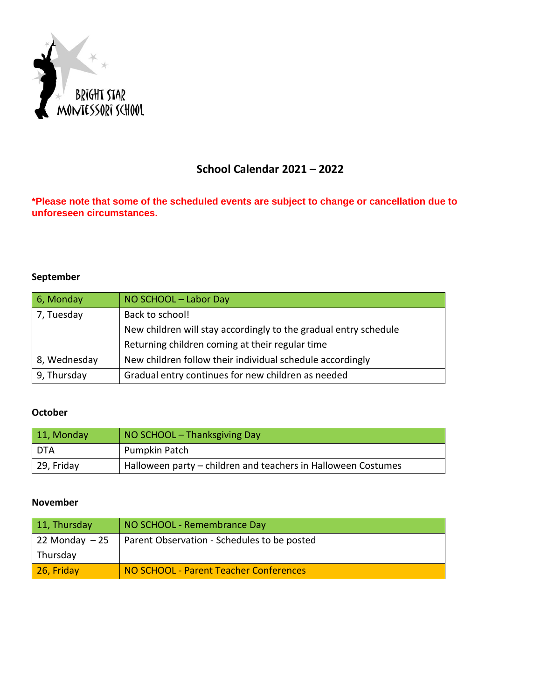

## **School Calendar 2021 – 2022**

**\*Please note that some of the scheduled events are subject to change or cancellation due to unforeseen circumstances.**

### **September**

| 6, Monday    | NO SCHOOL - Labor Day                                            |
|--------------|------------------------------------------------------------------|
| 7, Tuesday   | Back to school!                                                  |
|              | New children will stay accordingly to the gradual entry schedule |
|              | Returning children coming at their regular time                  |
| 8, Wednesday | New children follow their individual schedule accordingly        |
| 9, Thursday  | Gradual entry continues for new children as needed               |

### **October**

| $ 11,$ Monday | NO SCHOOL - Thanksgiving Day                                  |
|---------------|---------------------------------------------------------------|
| DTA           | Pumpkin Patch                                                 |
| 29, Friday    | Halloween party – children and teachers in Halloween Costumes |

#### **November**

| 11, Thursday      | NO SCHOOL - Remembrance Day                 |
|-------------------|---------------------------------------------|
| $22$ Monday $-25$ | Parent Observation - Schedules to be posted |
| Thursday          |                                             |
| 26, Friday        | NO SCHOOL - Parent Teacher Conferences      |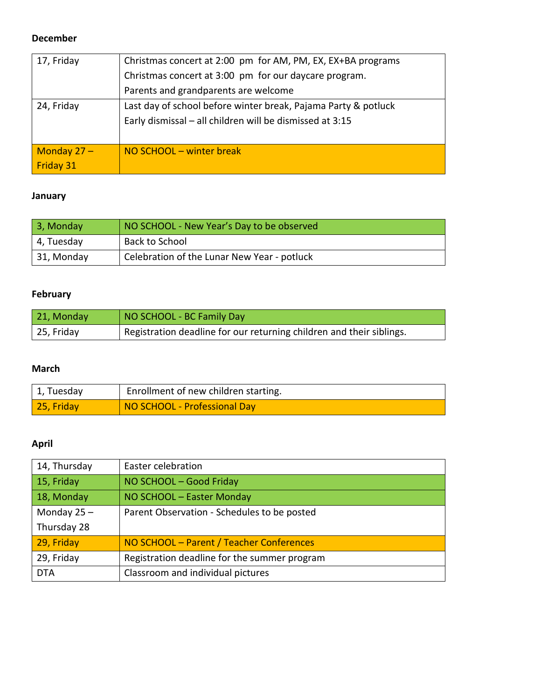#### **December**

| 17, Friday       | Christmas concert at 2:00 pm for AM, PM, EX, EX+BA programs    |
|------------------|----------------------------------------------------------------|
|                  | Christmas concert at 3:00 pm for our daycare program.          |
|                  | Parents and grandparents are welcome                           |
| 24, Friday       | Last day of school before winter break, Pajama Party & potluck |
|                  | Early dismissal - all children will be dismissed at 3:15       |
|                  |                                                                |
| Monday $27 -$    | NO SCHOOL – winter break                                       |
| <b>Friday 31</b> |                                                                |

### **January**

| 3, Monday  | NO SCHOOL - New Year's Day to be observed   |
|------------|---------------------------------------------|
| 4, Tuesday | Back to School                              |
| 31, Monday | Celebration of the Lunar New Year - potluck |

### **February**

| 21, Monday | NO SCHOOL - BC Family Day                                            |
|------------|----------------------------------------------------------------------|
| 25, Friday | Registration deadline for our returning children and their siblings. |

### **March**

| 1, Tuesday         | Enrollment of new children starting. |
|--------------------|--------------------------------------|
| $\vert$ 25, Friday | NO SCHOOL - Professional Day         |

### **April**

| 14, Thursday  | Easter celebration                           |
|---------------|----------------------------------------------|
| 15, Friday    | NO SCHOOL - Good Friday                      |
| 18, Monday    | NO SCHOOL - Easter Monday                    |
| Monday $25 -$ | Parent Observation - Schedules to be posted  |
| Thursday 28   |                                              |
| 29, Friday    | NO SCHOOL - Parent / Teacher Conferences     |
| 29, Friday    | Registration deadline for the summer program |
| <b>DTA</b>    | Classroom and individual pictures            |